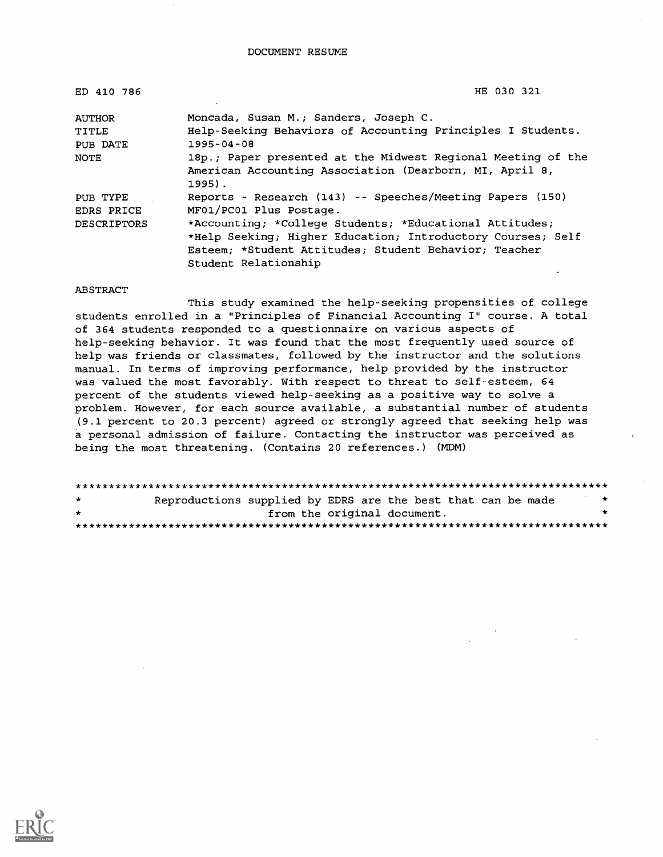| ED 410 786         | HE 030 321                                                                                                                        |
|--------------------|-----------------------------------------------------------------------------------------------------------------------------------|
| <b>AUTHOR</b>      | Moncada, Susan M.; Sanders, Joseph C.                                                                                             |
| TITLE              | Help-Seeking Behaviors of Accounting Principles I Students.                                                                       |
| PUB DATE           | $1995 - 04 - 08$                                                                                                                  |
| NOTE               | 18p.; Paper presented at the Midwest Regional Meeting of the<br>American Accounting Association (Dearborn, MI, April 8,<br>1995). |
| PUB TYPE           | Reports - Research (143) -- Speeches/Meeting Papers (150)                                                                         |
| EDRS PRICE         | MF01/PC01 Plus Postage.                                                                                                           |
| <b>DESCRIPTORS</b> | *Accounting; *College Students; *Educational Attitudes;                                                                           |
|                    | *Help Seeking; Higher Education; Introductory Courses; Self                                                                       |
|                    | Esteem: *Student Attitudes: Student Behavior: Teacher                                                                             |
|                    | Student Relationship                                                                                                              |

#### ABSTRACT

This study examined the help-seeking propensities of college students enrolled in a "Principles of Financial Accounting I" course. A total of 364 students responded to a questionnaire on various aspects of help-seeking behavior. It was found that the most frequently used source of help was friends or classmates, followed by the instructor and the solutions manual. In terms of improving performance, help provided by the instructor was valued the most favorably. With respect to threat to self-esteem, 64 percent of the students viewed help-seeking as a positive way to solve a problem. However, for each source available, a substantial number of students (9.1 percent to 20.3 percent) agreed or strongly agreed that seeking help was a personal admission of failure. Contacting the instructor was perceived as being the most threatening. (Contains 20 references.) (MDM)

| $\star$ | Reproductions supplied by EDRS are the best that can be made |                             |  | $\star$ |  |
|---------|--------------------------------------------------------------|-----------------------------|--|---------|--|
| $\star$ |                                                              | from the original document. |  |         |  |
|         |                                                              |                             |  |         |  |

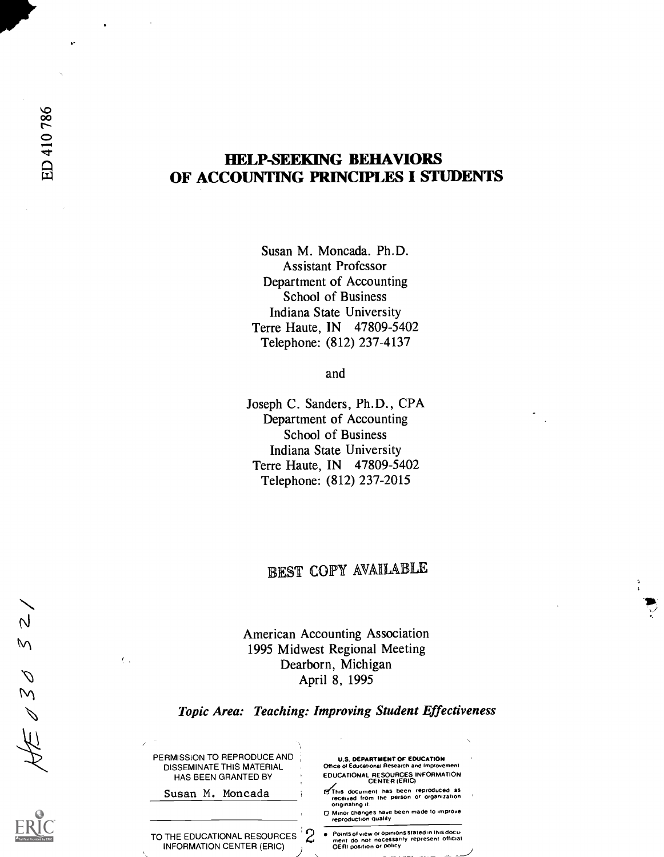# HELP-SEEKING BEHAVIORS OF ACCOUNTING PRINCIPLES I STUDENTS

Susan M. Moncada. Ph.D. Assistant Professor Department of Accounting School of Business Indiana State University Terre Haute, IN 47809-5402 Telephone: (812) 237-4137

and

Joseph C. Sanders, Ph.D., CPA Department of Accounting School of Business Indiana State University Terre Haute, IN 47809-5402 Telephone: (812) 237-2015

# EST COPY AVAILABLE

American Accounting Association 1995 Midwest Regional Meeting Dearborn, Michigan April 8, 1995

### Topic Area: Teaching: Improving Student Effectiveness

| PERMISSION TO REPRODUCE AND<br>DISSEMINATE THIS MATERIAL<br>HAS BEEN GRANTED BY |  |
|---------------------------------------------------------------------------------|--|
| Susan M. Moncada                                                                |  |
| TO THE EDUCATIONAL RESOURCES<br><b>INFORMATION CENTER (ERIC)</b>                |  |

 $\mathcal{L}_{\mathcal{A}}$ 

 $\overline{\mathsf{N}}$  $\overline{M}$ 

> $\overline{\mathcal{C}}$ M

> > ١H

U.S. DEPARTMENT OF EDUCATION Office of Educational Research and Improvem EDUCATIONAL RESOURCES INFORMATION CENTER (ERIC)

**GThis document has been reproduced as<br>received from the person or organization**<br>originating it.

0 Minor changes have been made to improve reproduction quality

TO THE EDUCATIONAL RESOURCES  $\sum_{\substack{\text{ment do not necessarily represent} \\ \text{ORI position or policy}}}$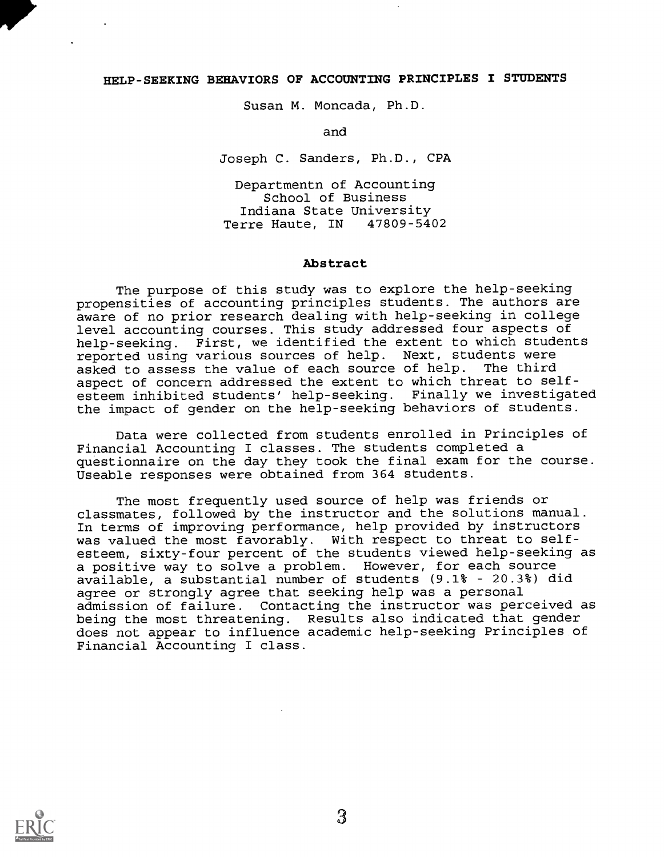### HELP-SEEKING BEHAVIORS OF ACCOUNTING PRINCIPLES I STUDENTS

Susan M. Moncada, Ph.D.

and

Joseph C. Sanders, Ph.D., CPA

Departmentn of Accounting School of Business Indiana State University Terre Haute, IN

### Abstract

The purpose of this study was to explore the help-seeking propensities of accounting principles students. The authors are aware of no prior research dealing with help-seeking in college level accounting courses. This study addressed four aspects of help-seeking. First, we identified the extent to which students reported using various sources of help. Next, students were<br>asked to assess the value of each source of help. The third asked to assess the value of each source of help. aspect of concern addressed the extent to which threat to selfesteem inhibited students' help-seeking. Finally we investigated the impact of gender on the help-seeking behaviors of students.

Data were collected from students enrolled in Principles of Financial Accounting I classes. The students completed a questionnaire on the day they took the final exam for the course. Useable responses were obtained from 364 students.

The most frequently used source of help was friends or classmates, followed by the instructor and the solutions manual. In terms of improving performance, help provided by instructors was valued the most favorably. With respect to threat to selfesteem, sixty-four percent of the students viewed help-seeking as a positive way to solve a problem. However, for each source available, a substantial number of students (9.1% 20.3%) did agree or strongly agree that seeking help was a personal admission of failure. Contacting the instructor was perceived as being the most threatening. Results also indicated that gender does not appear to influence academic help-seeking Principles of Financial Accounting I class.

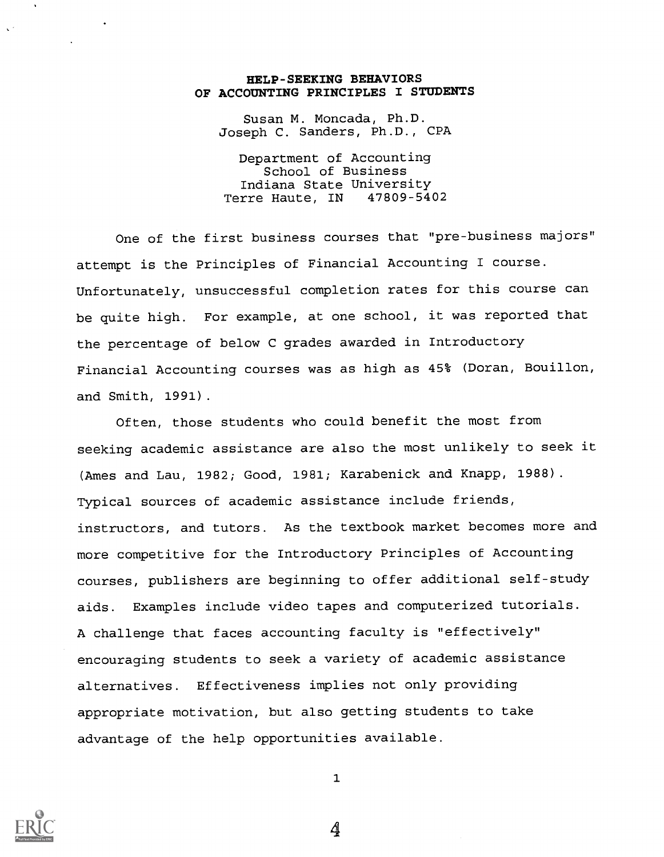### HELP-SEEKING BEHAVIORS OF ACCOUNTING PRINCIPLES I STUDENTS

Susan M. Moncada, Ph.D. Joseph C. Sanders, Ph.D., CPA

Department of Accounting School of Business Indiana State University Terre Haute, IN 47809-5402

One of the first business courses that "pre-business majors" attempt is the Principles of Financial Accounting I course. Unfortunately, unsuccessful completion rates for this course can be quite high. For example, at one school, it was reported that the percentage of below C grades awarded in Introductory Financial Accounting courses was as high as 45% (Doran, Bouillon, and Smith, 1991).

Often, those students who could benefit the most from seeking academic assistance are also the most unlikely to seek it (Ames and Lau, 1982; Good, 1981; Karabenick and Knapp, 1988). Typical sources of academic assistance include friends, instructors, and tutors. As the textbook market becomes more and more competitive for the Introductory Principles of Accounting courses, publishers are beginning to offer additional self-study aids. Examples include video tapes and computerized tutorials. A challenge that faces accounting faculty is "effectively" encouraging students to seek a variety of academic assistance alternatives. Effectiveness implies not only providing appropriate motivation, but also getting students to take advantage of the help opportunities available.



1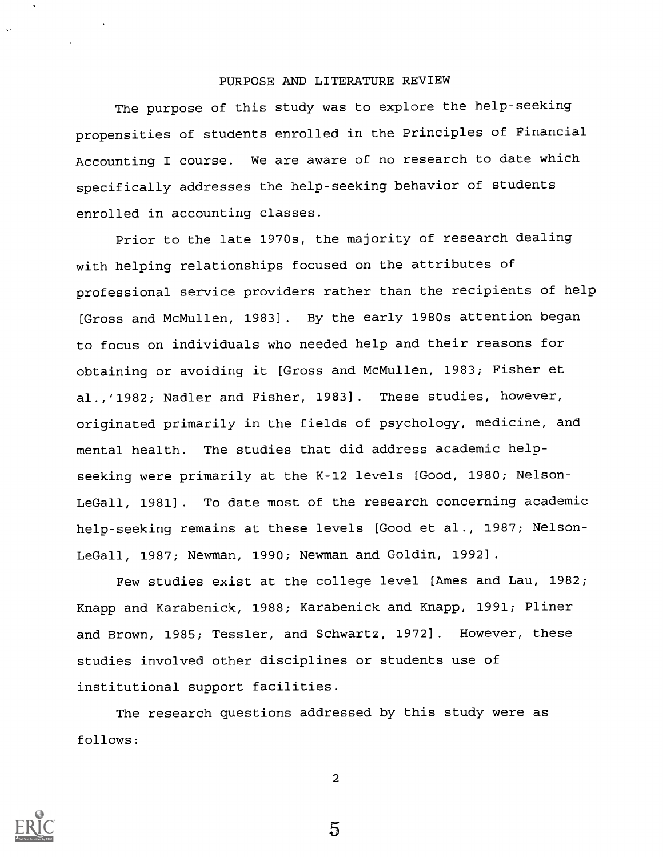### PURPOSE AND LITERATURE REVIEW

The purpose of this study was to explore the help-seeking propensities of students enrolled in the Principles of Financial Accounting I course. We are aware of no research to date which specifically addresses the help-seeking behavior of students enrolled in accounting classes.

Prior to the late 1970s, the majority of research dealing with helping relationships focused on the attributes of professional service providers rather than the recipients of help [Gross and McMullen, 1983]. By the early 1980s attention began to focus on individuals who needed help and their reasons for obtaining or avoiding it [Gross and McMullen, 1983; Fisher et al.,'1982; Nadler and Fisher, 1983]. These studies, however, originated primarily in the fields of psychology, medicine, and mental health. The studies that did address academic helpseeking were primarily at the K-12 levels [Good, 1980; Nelson-LeGall, 1981]. To date most of the research concerning academic help-seeking remains at these levels [Good et al., 1987; Nelson-LeGall, 1987; Newman, 1990; Newman and Goldin, 1992].

Few studies exist at the college level [Ames and Lau, 1982; Knapp and Karabenick, 1988; Karabenick and Knapp, 1991; Pliner and Brown, 1985; Tessler, and Schwartz, 1972]. However, these studies involved other disciplines or students use of institutional support facilities.

The research questions addressed by this study were as follows:



2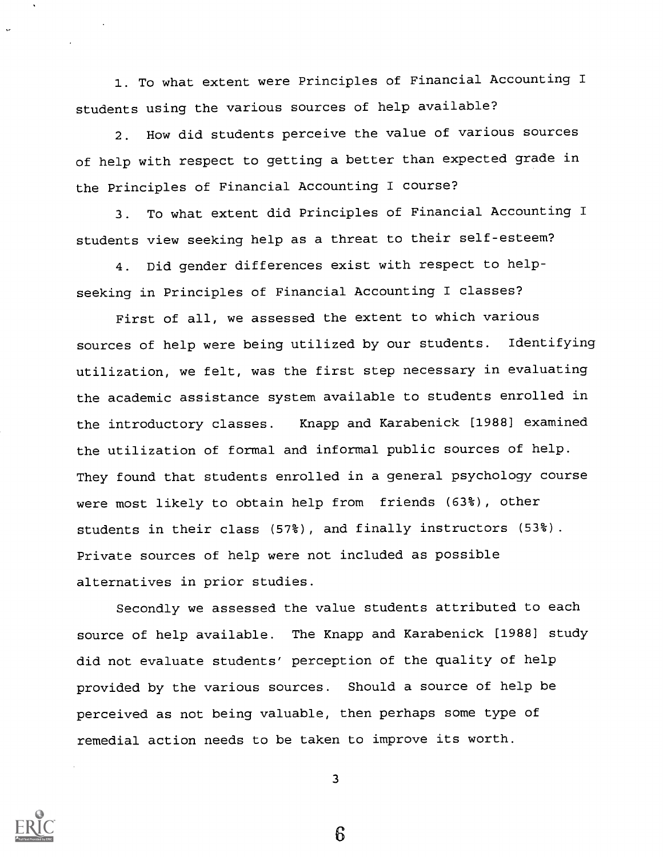1. To what extent were Principles of Financial Accounting I students using the various sources of help available?

2. How did students perceive the value of various sources of help with respect to getting a better than expected grade in the Principles of Financial Accounting I course?

3. To what extent did Principles of Financial Accounting I students view seeking help as a threat to their self-esteem?

4. Did gender differences exist with respect to helpseeking in Principles of Financial Accounting I classes?

First of all, we assessed the extent to which various sources of help were being utilized by our students. Identifying utilization, we felt, was the first step necessary in evaluating the academic assistance system available to students enrolled in the introductory classes. Knapp and Karabenick [1988] examined the utilization of formal and informal public sources of help. They found that students enrolled in a general psychology course were most likely to obtain help from friends (63%), other students in their class (57%), and finally instructors (53%). Private sources of help were not included as possible alternatives in prior studies.

Secondly we assessed the value students attributed to each source of help available. The Knapp and Karabenick [1988] study did not evaluate students' perception of the quality of help provided by the various sources. Should a source of help be perceived as not being valuable, then perhaps some type of remedial action needs to be taken to improve its worth.



3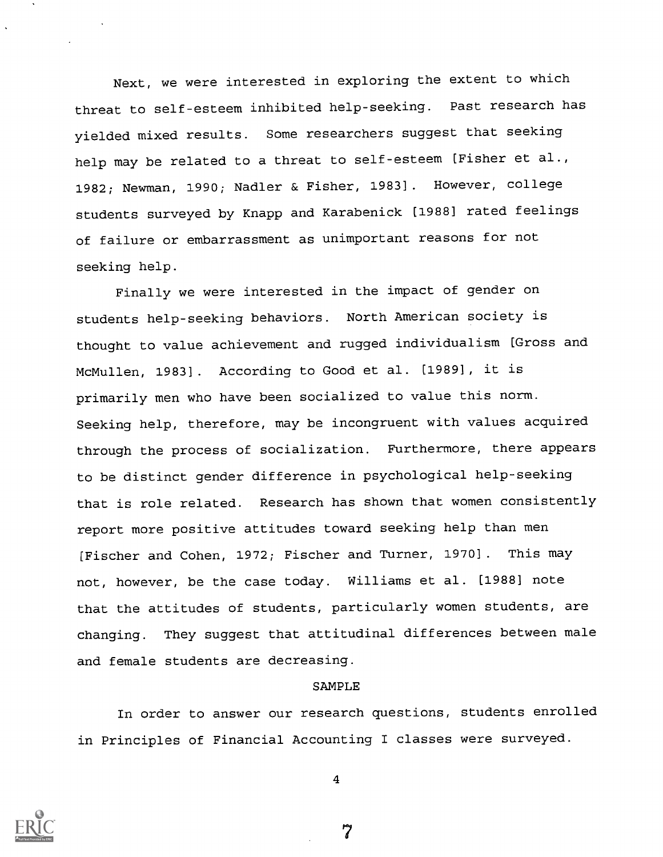Next, we were interested in exploring the extent to which threat to self-esteem inhibited help-seeking. Past research has yielded mixed results. Some researchers suggest that seeking help may be related to a threat to self-esteem [Fisher et al., 1982; Newman, 1990; Nadler & Fisher, 1983]. However, college students surveyed by Knapp and Karabenick [1988] rated feelings of failure or embarrassment as unimportant reasons for not seeking help.

Finally we were interested in the impact of gender on students help-seeking behaviors. North American society is thought to value achievement and rugged individualism [Gross and McMullen, 1983]. According to Good et al. [1989], it is primarily men who have been socialized to value this norm. Seeking help, therefore, may be incongruent with values acquired through the process of socialization. Furthermore, there appears to be distinct gender difference in psychological help-seeking that is role related. Research has shown that women consistently report more positive attitudes toward seeking help than men [Fischer and Cohen, 1972; Fischer and Turner, 1970]. This may not, however, be the case today. Williams et al. [1988] note that the attitudes of students, particularly women students, are changing. They suggest that attitudinal differences between male and female students are decreasing.

### SAMPLE

In order to answer our research questions, students enrolled in Principles of Financial Accounting I classes were surveyed.



4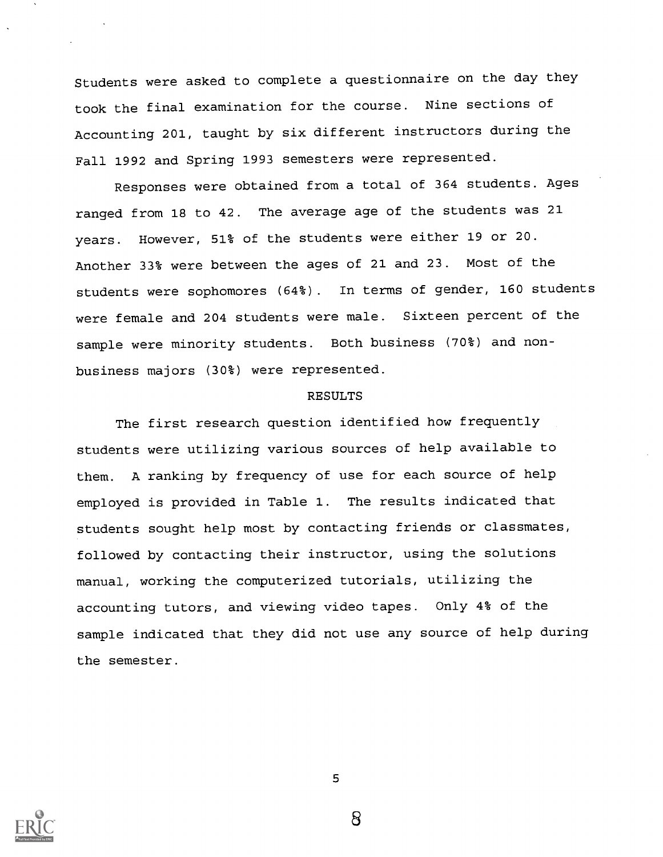Students were asked to complete a questionnaire on the day they took the final examination for the course. Nine sections of Accounting 201, taught by six different instructors during the Fall 1992 and Spring 1993 semesters were represented.

Responses were obtained from a total of 364 students. Ages ranged from 18 to 42. The average age of the students was 21 years. However, 51% of the students were either 19 or 20. Another 33% were between the ages of 21 and 23. Most of the students were sophomores (64%). In terms of gender, 160 students were female and 204 students were male. Sixteen percent of the sample were minority students. Both business (70%) and nonbusiness majors (30%) were represented.

### RESULTS

The first research question identified how frequently students were utilizing various sources of help available to them. A ranking by frequency of use for each source of help employed is provided in Table 1. The results indicated that students sought help most by contacting friends or classmates, followed by contacting their instructor, using the solutions manual, working the computerized tutorials, utilizing the accounting tutors, and viewing video tapes. Only 4% of the sample indicated that they did not use any source of help during the semester.

5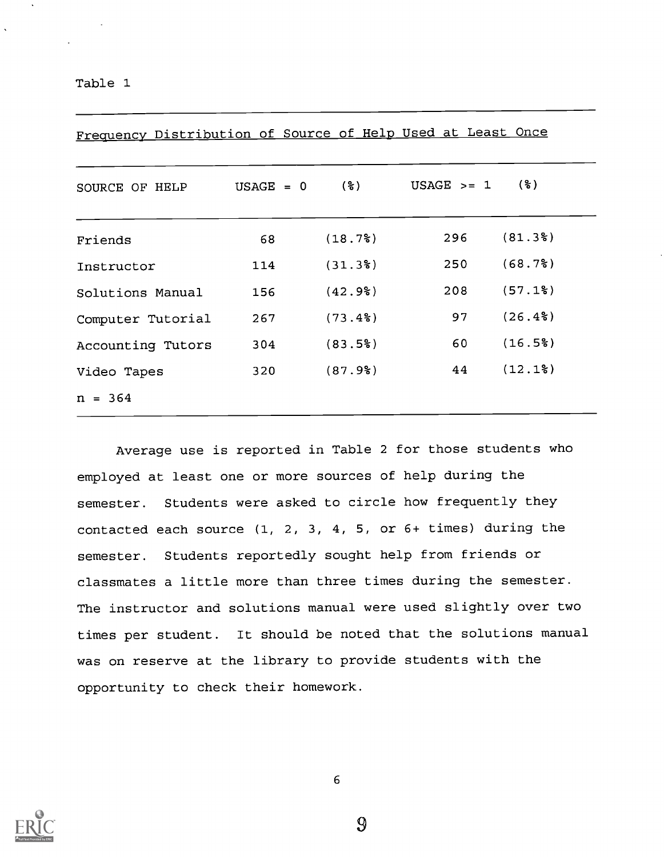Table 1

| SOURCE OF HELP    | $USAGE = 0$ | $($ $\mathcal{E})$ | $USAGE > = 1$ | (웅)                    |
|-------------------|-------------|--------------------|---------------|------------------------|
| Friends           | 68          | (18.7)             | 296           | (81.3)                 |
| Instructor        | 114         | (31.3)             | 250           | (68.7)                 |
| Solutions Manual  | 156         | (42.9)             | 208           | $(57.1$ <sup>2</sup> ) |
| Computer Tutorial | 267         | (73.4)             | 97            | $(26.4\%)$             |
| Accounting Tutors | 304         | (83.5)             | 60            | (16.5)                 |
| Video Tapes       | 320         | (87.9)             | 44            | (12.1)                 |
| $n = 364$         |             |                    |               |                        |

Frequency Distribution of Source of Help Used at Least Once

Average use is reported in Table 2 for those students who employed at least one or more sources of help during the semester. Students were asked to circle how frequently they contacted each source (1, 2, 3, 4, 5, or 6+ times) during the semester. Students reportedly sought help from friends or classmates a little more than three times during the semester. The instructor and solutions manual were used slightly over two times per student. It should be noted that the solutions manual was on reserve at the library to provide students with the opportunity to check their homework.



6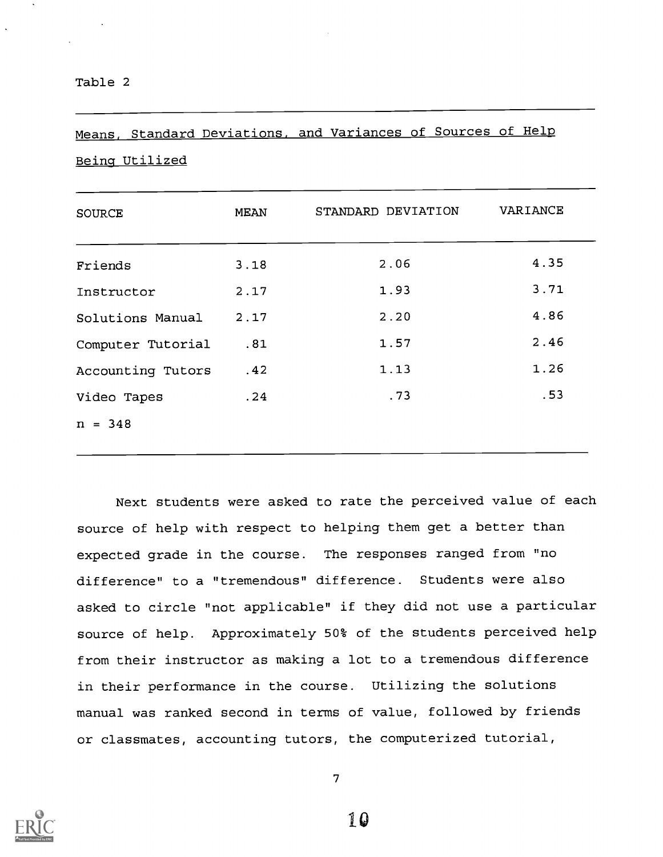# Means, Standard Deviations, and Variances of Sources of Help

### Being Utilized

| <b>SOURCE</b>     | MEAN | STANDARD DEVIATION | VARIANCE |
|-------------------|------|--------------------|----------|
| Friends           | 3.18 | 2.06               | 4.35     |
| Instructor        | 2.17 | 1.93               | 3.71     |
| Solutions Manual  | 2.17 | 2.20               | 4.86     |
| Computer Tutorial | .81  | 1.57               | 2.46     |
| Accounting Tutors | .42  | 1.13               | 1.26     |
| Video Tapes       | .24  | .73                | .53      |
| $n = 348$         |      |                    |          |

Next students were asked to rate the perceived value of each source of help with respect to helping them get a better than expected grade in the course. The responses ranged from "no difference" to a "tremendous" difference. Students were also asked to circle "not applicable" if they did not use a particular source of help. Approximately 50% of the students perceived help from their instructor as making a lot to a tremendous difference in their performance in the course. Utilizing the solutions manual was ranked second in terms of value, followed by friends or classmates, accounting tutors, the computerized tutorial,



7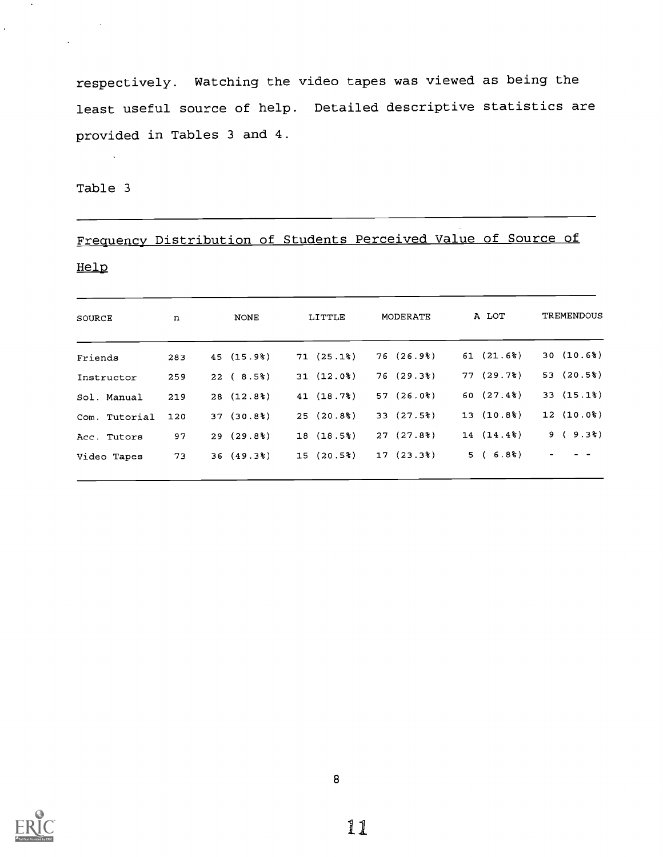respectively. Watching the video tapes was viewed as being the least useful source of help. Detailed descriptive statistics are provided in Tables 3 and 4.

Table 3

 $\sim$ 

 $\Delta$ 

 $\ddot{\phantom{a}}$ 

# Frequency Distribution of Students Perceived Value of Source of

### Help

| SOURCE        | n   | NONE      | LITTLE      | MODERATE    | A LOT     | <b>TREMENDOUS</b>        |
|---------------|-----|-----------|-------------|-------------|-----------|--------------------------|
| Friends       | 283 | 45(15.9)  | 71(25.1%)   | 76(26.9)    | 61(21.6%) | 30(10.6%)                |
| Instructor    | 259 | 22(8.5%)  | $31(12.0*)$ | 76(29.38)   | 77(29.7%) | 53(20.5%)                |
| Sol. Manual   | 219 | 28(12.8)  | 41(18.7%)   | $57(26.0*)$ | 60(27.4%) | 33(15.1%)                |
| Com. Tutorial | 120 | 37(30.8)  | 25(20.8)    | 33(27.5%)   | 13(10.8)  | $12(10.0*)$              |
| Acc. Tutors   | 97  | 29(29.8)  | 18(18.5%)   | 27(27.8)    | 14(14.4%) | 9(9.3)                   |
| Video Tapes   | 73  | 36(49.38) | 15(20.5%)   | $17(23.3*)$ | 5(6.8)    | $\overline{\phantom{a}}$ |
|               |     |           |             |             |           |                          |

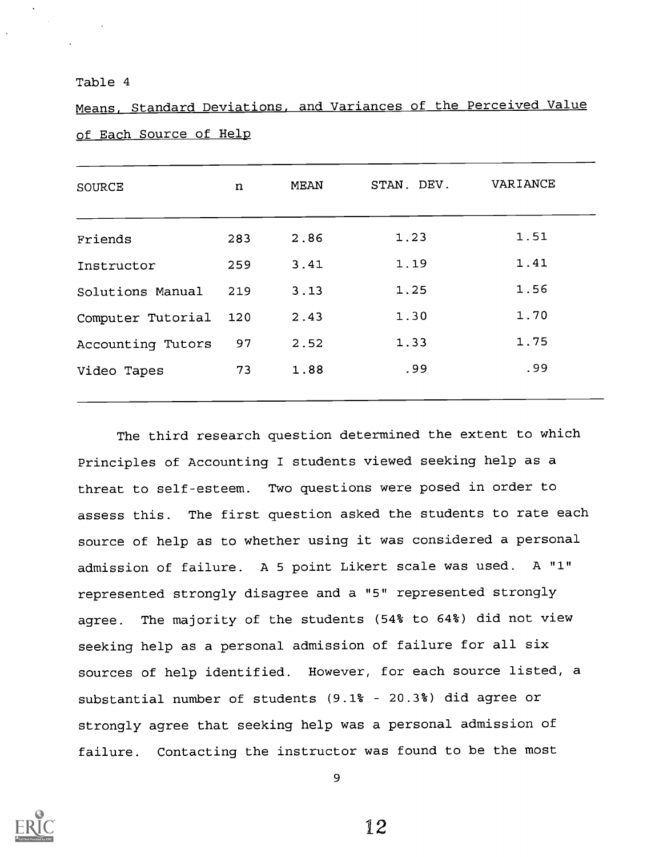### Table 4

Means, Standard Deviations, and Variances of the Perceived Value of Each Source of Help

| <b>SOURCE</b>     | n   | MEAN | STAN. DEV. | VARIANCE |
|-------------------|-----|------|------------|----------|
| Friends           | 283 | 2.86 | 1.23       | 1.51     |
| Instructor        | 259 | 3.41 | 1.19       | 1.41     |
| Solutions Manual  | 219 | 3.13 | 1.25       | 1.56     |
| Computer Tutorial | 120 | 2.43 | 1.30       | 1.70     |
| Accounting Tutors | 97  | 2.52 | 1.33       | 1.75     |
| Video Tapes       | 73  | 1.88 | .99        | .99      |

The third research question determined the extent to which Principles of Accounting I students viewed seeking help as a threat to self-esteem. Two questions were posed in order to assess this. The first question asked the students to rate each source of help as to whether using it was considered a personal admission of failure. A 5 point Likert scale was used. A "1" represented strongly disagree and a "5" represented strongly agree. The majority of the students (54% to 64%) did not view seeking help as a personal admission of failure for all six sources of help identified. However, for each source listed, a substantial number of students (9.1% 20.3%) did agree or strongly agree that seeking help was a personal admission of failure. Contacting the instructor was found to be the most



9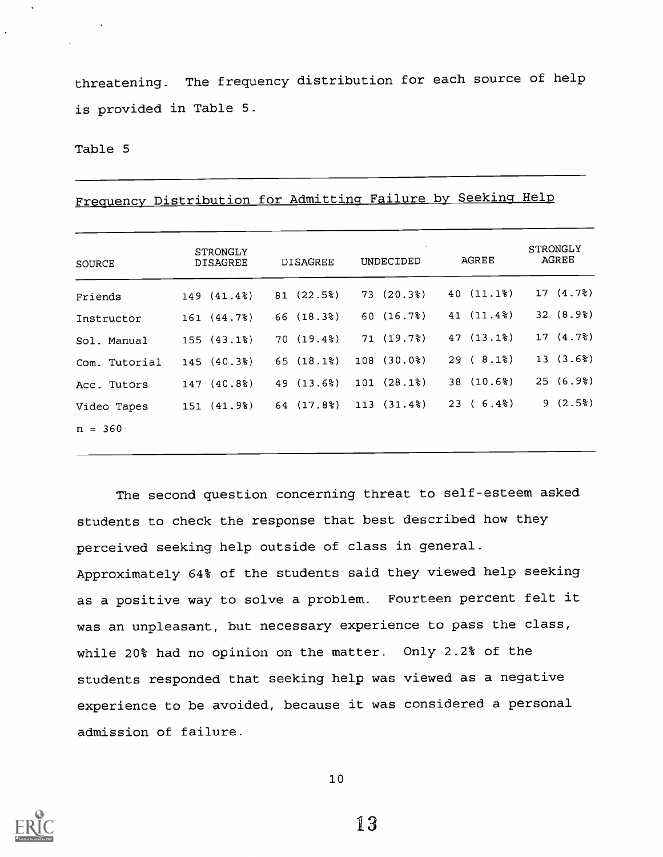threatening. The frequency distribution for each source of help is provided in Table 5.

### Table 5

| <b>SOURCE</b> | <b>STRONGLY</b><br><b>DISAGREE</b> | <b>DISAGREE</b> | UNDECIDED  | AGREE       | <b>STRONGLY</b><br>AGREE |
|---------------|------------------------------------|-----------------|------------|-------------|--------------------------|
| Friends       | 149 (41.4%)                        | 81(22.5%)       | 73(20.3%)  | 40 (11.1%)  | 17(4.7)                  |
| Instructor    | 161 (44.7%)                        | 66(18.3%)       | 60(16.7%)  | 41 (11.4%)  | 32(8.9)                  |
| Sol. Manual   | 155(43.1%)                         | 70(19.48)       | 71 (19.7%) | 47(13.1%)   | 17(4.7)                  |
| Com. Tutorial | 145 (40.3%)                        | 65(18.1%)       | 108(30.0%) | 29(8.1)     | 13(3.6%)                 |
| Acc. Tutors   | 147(40.8)                          | 49 (13.6%)      | 101(28.1%) | 38 (10.6%)  | 25(6.9)                  |
| Video Tapes   | 151 (41.9%)                        | 64 (17.8%)      | 113(31.4%) | $23(6.4\%)$ | 9(2.5)                   |

Frequency Distribution for Admitting Failure by Seeking Help

The second question concerning threat to self-esteem asked students to check the response that best described how they perceived seeking help outside of class in general. Approximately 64% of the students said they viewed help seeking as a positive way to solve a problem. Fourteen percent felt it was an unpleasant, but necessary experience to pass the class, while 20% had no opinion on the matter. Only 2.2% of the students responded that seeking help was viewed as a negative experience to be avoided, because it was considered a personal admission of failure.



10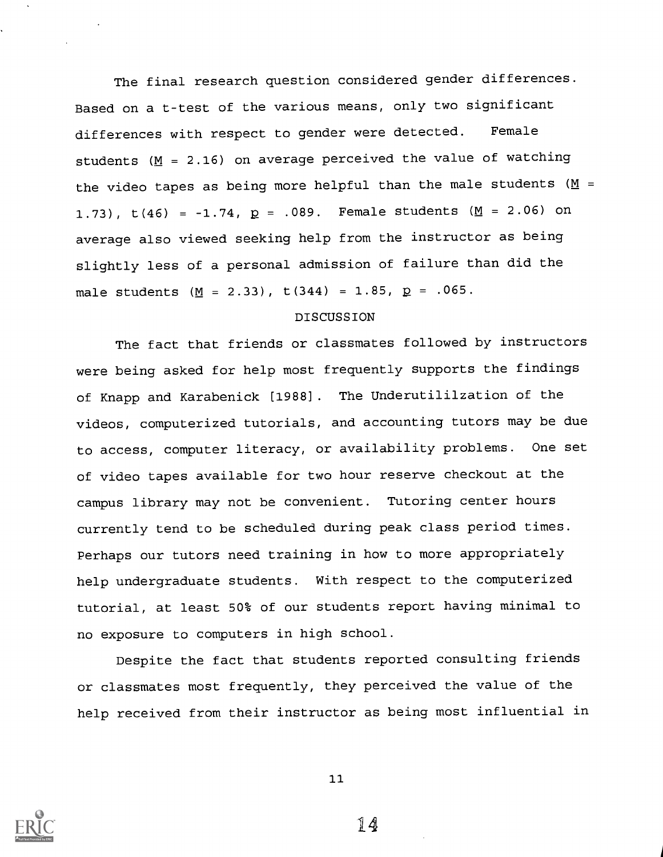The final research question considered gender differences. Based on a t-test of the various means, only two significant differences with respect to gender were detected. Female students ( $M = 2.16$ ) on average perceived the value of watching the video tapes as being more helpful than the male students ( $M =$ 1.73),  $t(46) = -1.74$ ,  $p = .089$ . Female students ( $M = 2.06$ ) on average also viewed seeking help from the instructor as being slightly less of a personal admission of failure than did the male students ( $M = 2.33$ ), t(344) = 1.85,  $p = .065$ .

### DISCUSSION

The fact that friends or classmates followed by instructors were being asked for help most frequently supports the findings of Knapp and Karabenick [1988]. The Underutililzation of the videos, computerized tutorials, and accounting tutors may be due to access, computer literacy, or availability problems. One set of video tapes available for two hour reserve checkout at the campus library may not be convenient. Tutoring center hours currently tend to be scheduled during peak class period times. Perhaps our tutors need training in how to more appropriately help undergraduate students. With respect to the computerized tutorial, at least 50% of our students report having minimal to no exposure to computers in high school.

Despite the fact that students reported consulting friends or classmates most frequently, they perceived the value of the help received from their instructor as being most influential in



11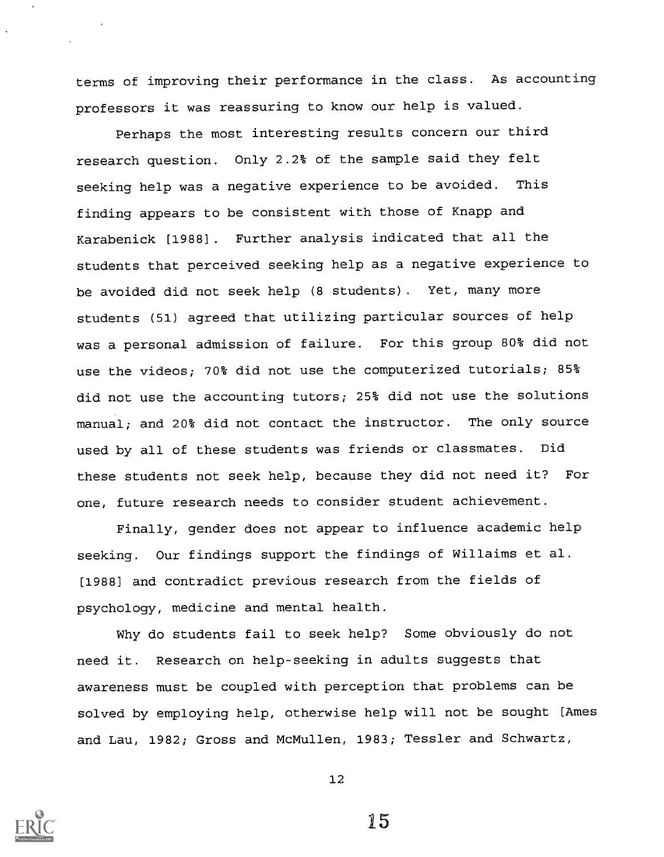terms of improving their performance in the class. As accounting professors it was reassuring to know our help is valued.

Perhaps the most interesting results concern our third research question. Only 2.2% of the sample said they felt seeking help was a negative experience to be avoided. This finding appears to be consistent with those of Knapp and Karabenick [1988]. Further analysis indicated that all the students that perceived seeking help as a negative experience to be avoided did not seek help (8 students). Yet, many more students (51) agreed that utilizing particular sources of help was a personal admission of failure. For this group 80% did not use the videos; 70% did not use the computerized tutorials; 85% did not use the accounting tutors; 25% did not use the solutions manual; and 20% did not contact the instructor. The only source used by all of these students was friends or classmates. Did these students not seek help, because they did not need it? For one, future research needs to consider student achievement.

Finally, gender does not appear to influence academic help seeking. Our findings support the findings of Willaims et al. [1988] and contradict previous research from the fields of psychology, medicine and mental health.

Why do students fail to seek help? Some obviously do not need it. Research on help-seeking in adults suggests that awareness must be coupled with perception that problems can be solved by employing help, otherwise help will not be sought [Ames and Lau, 1982; Gross and McMullen, 1983; Tessler and Schwartz,



12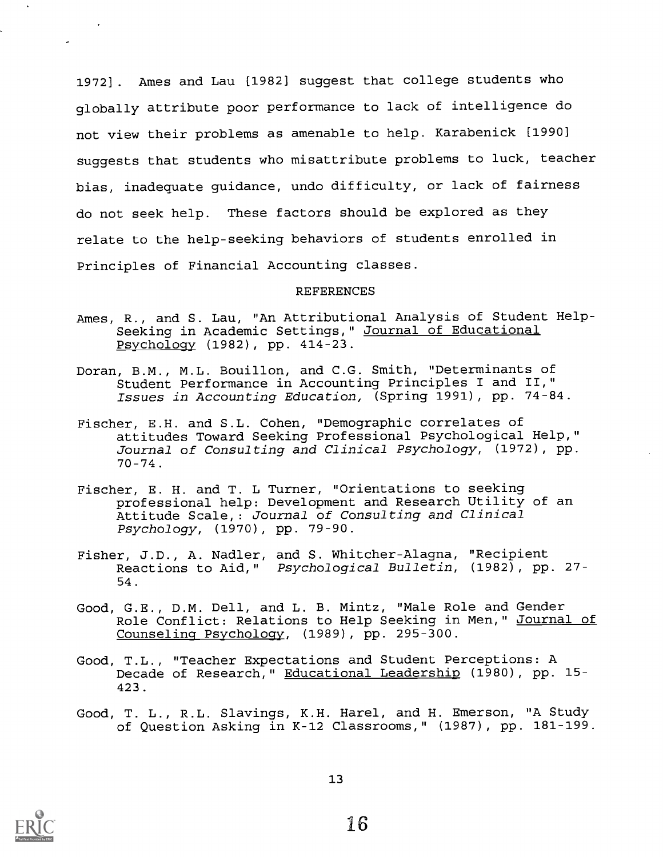1972]. Ames and Lau [1982] suggest that college students who globally attribute poor performance to lack of intelligence do not view their problems as amenable to help. Karabenick [1990] suggests that students who misattribute problems to luck, teacher bias, inadequate guidance, undo difficulty, or lack of fairness do not seek help. These factors should be explored as they relate to the help-seeking behaviors of students enrolled in Principles of Financial Accounting classes.

### REFERENCES

- Ames, R., and S. Lau, "An Attributional Analysis of Student Help-Seeking in Academic Settings," Journal of Educational Psychology (1982), pp. 414-23.
- Doran, B.M., M.L. Bouillon, and C.G. Smith, "Determinants of Student Performance in Accounting Principles I and II," Issues in Accounting Education, (Spring 1991), pp. 74-84.
- Fischer, E.H. and S.L. Cohen, "Demographic correlates of attitudes Toward Seeking Professional Psychological Help," Journal of Consulting and Clinical Psychology, (1972), pp. 70-74.
- Fischer, E. H. and T. L Turner, "Orientations to seeking professional help: Development and Research Utility of an Attitude Scale,: Journal of Consulting and Clinical Psychology, (1970), pp. 79-90.
- Fisher, J.D., A. Nadler, and S. Whitcher-Alagna, "Recipient Reactions to Aid," Psychological Bulletin, (1982), pp. 27- 54
- Good, G.E., D.M. Dell, and L. B. Mintz, "Male Role and Gender Role Conflict: Relations to Help Seeking in Men," Journal of Counseling Psychology, (1989), pp. 295-300.
- Good, T.L., "Teacher Expectations and Student Perceptions: A Decade of Research," Educational Leadership (1980), pp. 15- 423.
- Good, T. L., R.L. Slayings, K.H. Harel, and H. Emerson, "A Study of Question Asking in K-12 Classrooms," (1987), pp. 181-199.



 $\mathbf{A}$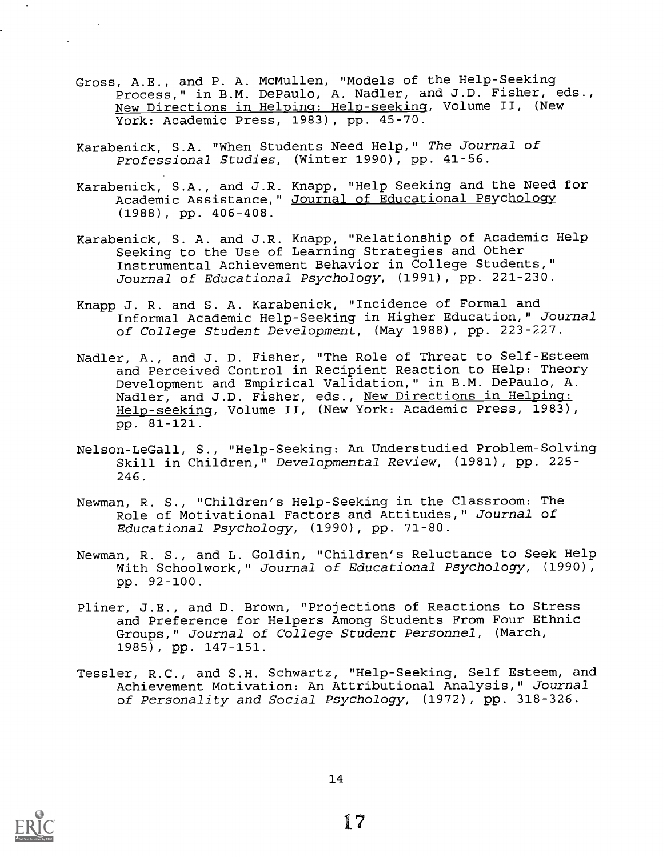- Gross, A.E., and P. A. McMullen, "Models of the Help-Seeking Process," in B.M. DePaulo, A. Nadler, and J.D. Fisher, eds., New Directions in Helping: Help-seeking, Volume II, (New York: Academic Press, 1983), pp. 45-70.
- Karabenick, S.A. "When Students Need Help," The Journal of Professional Studies, (Winter 1990), pp. 41-56.
- Karabenick, S.A., and J.R. Knapp, "Help Seeking and the Need for Academic Assistance," Journal of Educational Psychology (1988), pp. 406-408.
- Karabenick, S. A. and J.R. Knapp, "Relationship of Academic Help Seeking to the Use of Learning Strategies and Other Instrumental Achievement Behavior in College Students," Journal of Educational Psychology, (1991), pp. 221-230.
- Knapp J. R. and S. A. Karabenick, "Incidence of Formal and Informal Academic Help-Seeking in Higher Education," Journal of College Student Development, (May 1988), pp. 223-227.
- Nadler, A., and J. D. Fisher, "The Role of Threat to Self-Esteem and Perceived Control in Recipient Reaction to Help: Theory Development and Empirical Validation," in B.M. DePaulo, A. Nadler, and J.D. Fisher, eds., New Directions in Helping: Help-seeking, Volume II, (New York: Academic Press, 1983), pp. 81-121.
- Nelson-LeGall, S., "Help-Seeking: An Understudied Problem-Solving Skill in Children," Developmental Review, (1981), pp. 225- 246.
- Newman, R. S., "Children's Help-Seeking in the Classroom: The Role of Motivational Factors and Attitudes," Journal of Educational Psychology, (1990), pp. 71-80.
- Newman, R. S., and L. Goldin, "Children's Reluctance to Seek Help With Schoolwork," Journal of Educational Psychology, (1990), pp. 92-100.
- Pliner, J.E., and D. Brown, "Projections of Reactions to Stress and Preference for Helpers Among Students From Four Ethnic Groups," Journal of College Student Personnel, (March, 1985), pp. 147-151.
- Tessler, R.C., and S.H. Schwartz, "Help-Seeking, Self Esteem, and Achievement Motivation: An Attributional Analysis," Journal of Personality and Social Psychology, (1972), pp. 318-326.

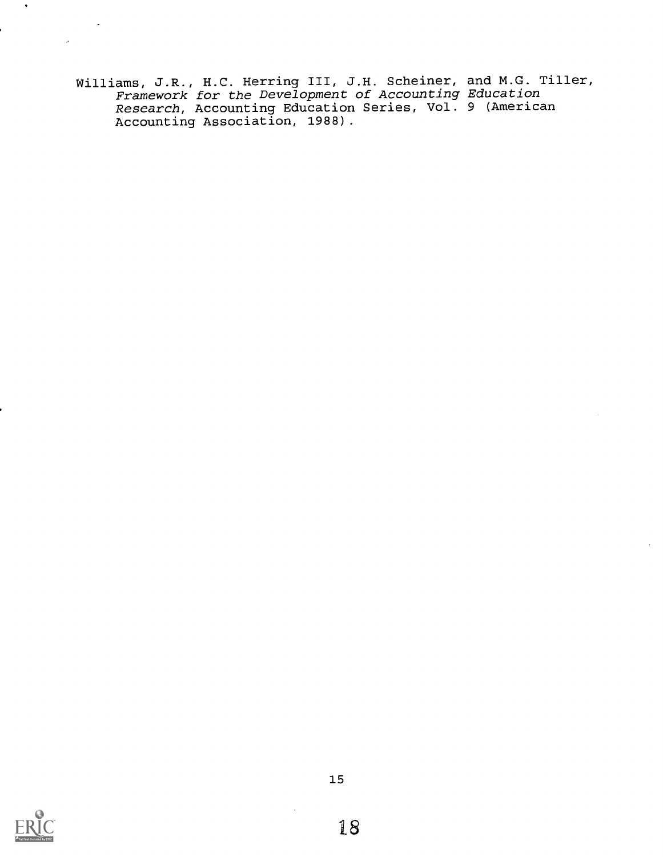Williams, J.R., H.C. Herring III, J.H. Scheiner, and M.G. Tiller, Framework for the Development of Accounting Education Research, Accounting Education Series, Vol. 9 (American Accounting Association, 1988).



 $\bullet$ 

 $\omega$